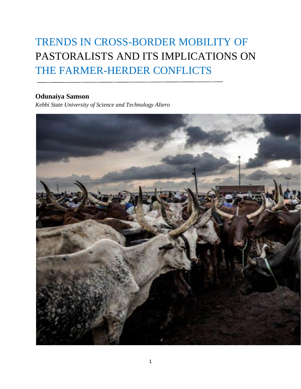# TRENDS IN CROSS-BORDER MOBILITY OF PASTORALISTS AND ITS IMPLICATIONS ON THE FARMER-HERDER CONFLICTS

### **Odunaiya Samson**

*Kebbi State University of Science and Technology Aliero*

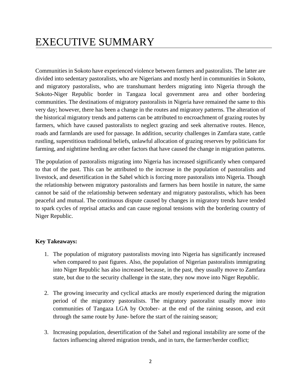# EXECUTIVE SUMMARY

Communities in Sokoto have experienced violence between farmers and pastoralists. The latter are divided into sedentary pastoralists, who are Nigerians and mostly herd in communities in Sokoto, and migratory pastoralists, who are transhumant herders migrating into Nigeria through the Sokoto-Niger Republic border in Tangaza local government area and other bordering communities. The destinations of migratory pastoralists in Nigeria have remained the same to this very day; however, there has been a change in the routes and migratory patterns. The alteration of the historical migratory trends and patterns can be attributed to encroachment of grazing routes by farmers, which have caused pastoralists to neglect grazing and seek alternative routes. Hence, roads and farmlands are used for passage. In addition, security challenges in Zamfara state, cattle rustling, superstitious traditional beliefs, unlawful allocation of grazing reserves by politicians for farming, and nighttime herding are other factors that have caused the change in migration patterns.

The population of pastoralists migrating into Nigeria has increased significantly when compared to that of the past. This can be attributed to the increase in the population of pastoralists and livestock, and desertification in the Sahel which is forcing more pastoralists into Nigeria. Though the relationship between migratory pastoralists and farmers has been hostile in nature, the same cannot be said of the relationship between sedentary and migratory pastoralists, which has been peaceful and mutual. The continuous dispute caused by changes in migratory trends have tended to spark cycles of reprisal attacks and can cause regional tensions with the bordering country of Niger Republic.

#### **Key Takeaways:**

- 1. The population of migratory pastoralists moving into Nigeria has significantly increased when compared to past figures. Also, the population of Nigerian pastoralists immigrating into Niger Republic has also increased because, in the past, they usually move to Zamfara state, but due to the security challenge in the state, they now move into Niger Republic.
- 2. The growing insecurity and cyclical attacks are mostly experienced during the migration period of the migratory pastoralists. The migratory pastoralist usually move into communities of Tangaza LGA by October- at the end of the raining season, and exit through the same route by June- before the start of the raining season;
- 3. Increasing population, desertification of the Sahel and regional instability are some of the factors influencing altered migration trends, and in turn, the farmer/herder conflict;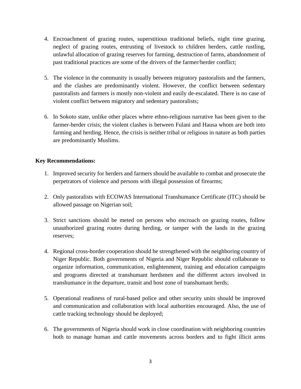- 4. Encroachment of grazing routes, superstitious traditional beliefs, night time grazing, neglect of grazing routes, entrusting of livestock to children herders, cattle rustling, unlawful allocation of grazing reserves for farming, destruction of farms, abandonment of past traditional practices are some of the drivers of the farmer/herder conflict;
- 5. The violence in the community is usually between migratory pastoralists and the farmers, and the clashes are predominantly violent. However, the conflict between sedentary pastoralists and farmers is mostly non-violent and easily de-escalated. There is no case of violent conflict between migratory and sedentary pastoralists;
- 6. In Sokoto state, unlike other places where ethno-religious narrative has been given to the farmer-herder crisis; the violent clashes is between Fulani and Hausa whom are both into farming and herding. Hence, the crisis is neither tribal or religious in nature as both parties are predominantly Muslims.

#### **Key Recommendations:**

- 1. Improved security for herders and farmers should be available to combat and prosecute the perpetrators of violence and persons with illegal possession of firearms;
- 2. Only pastoralists with ECOWAS International Transhumance Certificate (ITC) should be allowed passage on Nigerian soil;
- 3. Strict sanctions should be meted on persons who encroach on grazing routes, follow unauthorized grazing routes during herding, or tamper with the lands in the grazing reserves;
- 4. Regional cross-border cooperation should be strengthened with the neighboring country of Niger Republic. Both governments of Nigeria and Niger Republic should collaborate to organize information, communication, enlightenment, training and education campaigns and programs directed at transhumant herdsmen and the different actors involved in transhumance in the departure, transit and host zone of transhumant herds;
- 5. Operational readiness of rural-based police and other security units should be improved and communication and collaboration with local authorities encouraged. Also, the use of cattle tracking technology should be deployed;
- 6. The governments of Nigeria should work in close coordination with neighboring countries both to manage human and cattle movements across borders and to fight illicit arms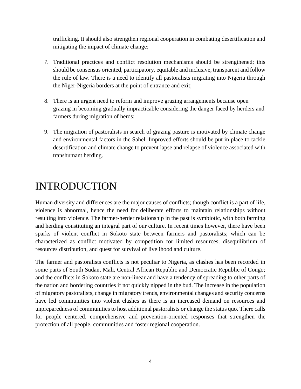trafficking. It should also strengthen regional cooperation in combating desertification and mitigating the impact of climate change;

- 7. Traditional practices and conflict resolution mechanisms should be strengthened; this should be consensus oriented, participatory, equitable and inclusive, transparent and follow the rule of law. There is a need to identify all pastoralists migrating into Nigeria through the Niger-Nigeria borders at the point of entrance and exit;
- 8. There is an urgent need to reform and improve grazing arrangements because open grazing in becoming gradually impracticable considering the danger faced by herders and farmers during migration of herds;
- 9. The migration of pastoralists in search of grazing pasture is motivated by climate change and environmental factors in the Sahel. Improved efforts should be put in place to tackle desertification and climate change to prevent lapse and relapse of violence associated with transhumant herding.

# INTRODUCTION

Human diversity and differences are the major causes of conflicts; though conflict is a part of life, violence is abnormal, hence the need for deliberate efforts to maintain relationships without resulting into violence. The farmer-herder relationship in the past is symbiotic, with both farming and herding constituting an integral part of our culture. In recent times however, there have been sparks of violent conflict in Sokoto state between farmers and pastoralists; which can be characterized as conflict motivated by competition for limited resources, disequilibrium of resources distribution, and quest for survival of livelihood and culture.

The farmer and pastoralists conflicts is not peculiar to Nigeria, as clashes has been recorded in some parts of South Sudan, Mali, Central African Republic and Democratic Republic of Congo; and the conflicts in Sokoto state are non-linear and have a tendency of spreading to other parts of the nation and bordering countries if not quickly nipped in the bud. The increase in the population of migratory pastoralists, change in migratory trends, environmental changes and security concerns have led communities into violent clashes as there is an increased demand on resources and unpreparedness of communities to host additional pastoralists or change the status quo. There calls for people centered, comprehensive and prevention-oriented responses that strengthen the protection of all people, communities and foster regional cooperation.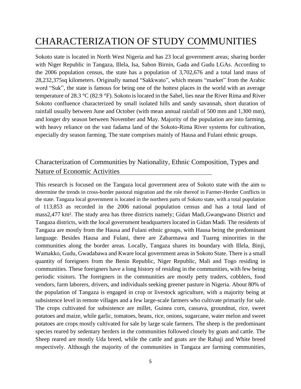## CHARACTERIZATION OF STUDY COMMUNITIES

Sokoto state is located in North West Nigeria and has 23 local government areas; sharing border with Niger Republic in Tangaza, Illela, Isa, Sabon Birnin, Gada and Gudu LGAs. According to the 2006 population census, the state has a population of 3,702,676 and a total land mass of 28,232,375sq kilometers. Originally named "Sakkwato", which means "market" from the Arabic word "Suk", the state is famous for being one of the hottest places in the world with an average temperature of 28.3 °C (82.9 °F). Sokoto is located in the Sahel, lies near the River Rima and River Sokoto confluence characterized by small isolated hills and sandy savannah, short duration of rainfall usually between June and October (with mean annual rainfall of 500 mm and 1,300 mm), and longer dry season between November and May. Majority of the population are into farming, with heavy reliance on the vast fadama land of the Sokoto-Rima River systems for cultivation, especially dry season farming. The state comprises mainly of Hausa and Fulani ethnic groups.

### Characterization of Communities by Nationality, Ethnic Composition, Types and Nature of Economic Activities

This research is focused on the Tangaza local government area of Sokoto state with the aim to determine the trends in cross-border pastoral migration and the role thereof in Farmer-Herder Conflicts in the state. Tangaza local government is located in the northern parts of Sokoto state, with a total population of 113,853 as recorded in the 2006 national population census and has a total land of mass2,477 km². The study area has three districts namely; Gidan Madi,Gwangwano District and Tangaza districts, with the local government headquarters located in Gidan Madi. The residents of Tangaza are mostly from the Hausa and Fulani ethnic groups, with Hausa being the predominant language. Besides Hausa and Fulani, there are Zabarmawa and Tuareg minorities in the communities along the border areas. Locally, Tangaza shares its boundary with Illela, Binji, Wamakko, Gudu, Gwadabawa and Kware local government areas in Sokoto State. There is a small quantity of foreigners from the Benin Republic, Niger Republic, Mali and Togo residing in communities. These foreigners have a long history of residing in the communities, with few being periodic visitors. The foreigners in the communities are mostly petty traders, cobblers, food vendors, farm laborers, drivers, and individuals seeking greener pasture in Nigeria. About 80% of the population of Tangaza is engaged in crop or livestock agriculture, with a majority being at subsistence level in remote villages and a few large-scale farmers who cultivate primarily for sale. The crops cultivated for subsistence are millet, Guinea corn, cassava, groundnut, rice, sweet potatoes and maize, while garlic, tomatoes, beans, rice, onions, sugarcane, water melon and sweet potatoes are crops mostly cultivated for sale by large scale farmers. The sheep is the predominant species reared by sedentary herders in the communities followed closely by goats and cattle. The Sheep reared are mostly Uda breed, while the cattle and goats are the Rahaji and White breed respectively. Although the majority of the communities in Tangaza are farming communities,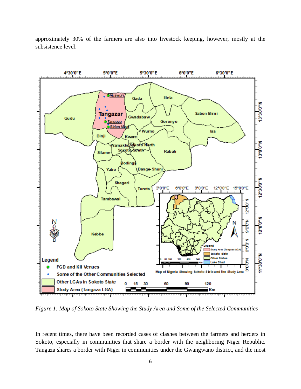

approximately 30% of the farmers are also into livestock keeping, however, mostly at the subsistence level.

*Figure 1: Map of Sokoto State Showing the Study Area and Some of the Selected Communities*

In recent times, there have been recorded cases of clashes between the farmers and herders in Sokoto, especially in communities that share a border with the neighboring Niger Republic. Tangaza shares a border with Niger in communities under the Gwangwano district, and the most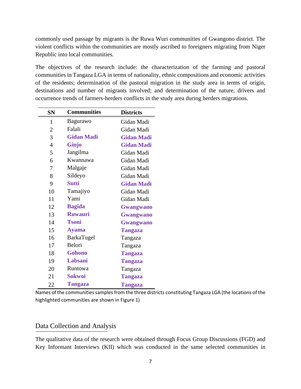commonly used passage by migrants is the Ruwa Wuri communities of Gwangono district. The violent conflicts within the communities are mostly ascribed to foreigners migrating from Niger Republic into local communities.

The objectives of the research include: the characterization of the farming and pastoral communities in Tangaza LGA in terms of nationality, ethnic compositions and economic activities of the residents; determination of the pastoral migration in the study area in terms of origin, destinations and number of migrants involved; and determination of the nature, drivers and occurrence trends of farmers-herders conflicts in the study area during herders migrations.

| <b>SN</b>      | <b>Communities</b>    | <b>Districts</b>  |  |
|----------------|-----------------------|-------------------|--|
| 1              | Bagurawo              | Gidan Madi        |  |
| $\overline{2}$ | Falali                | Gidan Madi        |  |
| 3              | <b>Gidan Madi</b>     | <b>Gidan Madi</b> |  |
| $\overline{4}$ | Ginjo                 | <b>Gidan Madi</b> |  |
| 5              | Jangilma              | Gidan Madi        |  |
| 6              | Kwannawa              | Gidan Madi        |  |
| 7              | Malgaje<br>Gidan Madi |                   |  |
| 8              | Sildeyo<br>Gidan Madi |                   |  |
| 9              | <b>Sutti</b>          | <b>Gidan Madi</b> |  |
| 10             | Tamajiyo              | Gidan Madi        |  |
| 11             | Yami                  | Gidan Madi        |  |
| 12             | <b>Bagida</b>         | Gwangwano         |  |
| 13             | <b>Ruwauri</b>        | <b>Gwangwano</b>  |  |
| 14             | <b>Tsoni</b>          | Gwangwano         |  |
| 15             | <b>Ayama</b>          | <b>Tangaza</b>    |  |
| 16             | BarkaTugel<br>Tangaza |                   |  |
| 17             | Belori                | Tangaza           |  |
| 18             | <b>Gohono</b>         | <b>Tangaza</b>    |  |
| 19             | Labsani               | <b>Tangaza</b>    |  |
| 20             | Runtowa               | Tangaza           |  |
| 21             | <b>Sokwoi</b>         | <b>Tangaza</b>    |  |
| 22             | <b>Tangaza</b>        | <b>Tangaza</b>    |  |

Names of the communities samples from the three districts constituting Tangaza LGA (the locations of the highlighted communities are shown in Figure 1)

### Data Collection and Analysis

The qualitative data of the research were obtained through Focus Group Discussions (FGD) and Key Informant Interviews (KII) which was conducted in the same selected communities in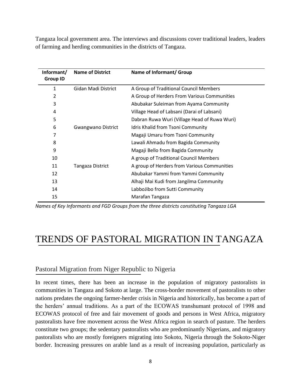Tangaza local government area. The interviews and discussions cover traditional leaders, leaders of farming and herding communities in the districts of Tangaza.

| Informant/<br><b>Group ID</b> | <b>Name of District</b> | Name of Informant/ Group                     |
|-------------------------------|-------------------------|----------------------------------------------|
| 1                             | Gidan Madi District     | A Group of Traditional Council Members       |
| 2                             |                         | A Group of Herders From Various Communities  |
| 3                             |                         | Abubakar Suleiman from Ayama Community       |
| 4                             |                         | Village Head of Labsani (Darai of Labsani)   |
| 5                             |                         | Dabran Ruwa Wuri (Village Head of Ruwa Wuri) |
| 6                             | Gwangwano District      | Idris Khalid from Tsoni Community            |
| 7                             |                         | Magaji Umaru from Tsoni Community            |
| 8                             |                         | Lawali Ahmadu from Bagida Community          |
| 9                             |                         | Magaji Bello from Bagida Community           |
| 10                            |                         | A group of Traditional Council Members       |
| 11                            | Tangaza District        | A group of Herders from Various Communities  |
| 12                            |                         | Abubakar Yammi from Yammi Community          |
| 13                            |                         | Alhaji Mai Kudi from Jangilma Community      |
| 14                            |                         | LabboJibo from Sutti Community               |
| 15                            |                         | Marafan Tangaza                              |

*Names of Key Informants and FGD Groups from the three districts constituting Tangaza LGA*

## TRENDS OF PASTORAL MIGRATION IN TANGAZA

### Pastoral Migration from Niger Republic to Nigeria

In recent times, there has been an increase in the population of migratory pastoralists in communities in Tangaza and Sokoto at large. The cross-border movement of pastoralists to other nations predates the ongoing farmer-herder crisis in Nigeria and historically, has become a part of the herders' annual traditions. As a part of the ECOWAS transhumant protocol of 1998 and ECOWAS protocol of free and fair movement of goods and persons in West Africa, migratory pastoralists have free movement across the West Africa region in search of pasture. The herders constitute two groups; the sedentary pastoralists who are predominantly Nigerians, and migratory pastoralists who are mostly foreigners migrating into Sokoto, Nigeria through the Sokoto-Niger border. Increasing pressures on arable land as a result of increasing population, particularly as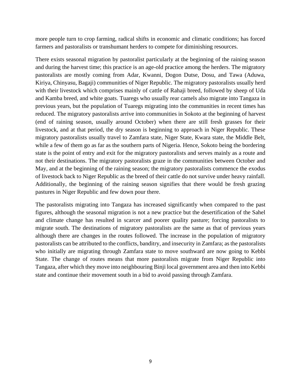more people turn to crop farming, radical shifts in economic and climatic conditions; has forced farmers and pastoralists or transhumant herders to compete for diminishing resources.

There exists seasonal migration by pastoralist particularly at the beginning of the raining season and during the harvest time; this practice is an age-old practice among the herders. The migratory pastoralists are mostly coming from Adar, Kwanni, Dogon Dutse, Dosu, and Tawa (Aduwa, Kiriya, Chinyasu, Bagaji) communities of Niger Republic. The migratory pastoralists usually herd with their livestock which comprises mainly of cattle of Rahaji breed, followed by sheep of Uda and Kamba breed, and white goats. Tuaregs who usually rear camels also migrate into Tangaza in previous years, but the population of Tuaregs migrating into the communities in recent times has reduced. The migratory pastoralists arrive into communities in Sokoto at the beginning of harvest (end of raining season, usually around October) when there are still fresh grasses for their livestock, and at that period, the dry season is beginning to approach in Niger Republic. These migratory pastoralists usually travel to Zamfara state, Niger State, Kwara state, the Middle Belt, while a few of them go as far as the southern parts of Nigeria. Hence, Sokoto being the bordering state is the point of entry and exit for the migratory pastoralists and serves mainly as a route and not their destinations. The migratory pastoralists graze in the communities between October and May, and at the beginning of the raining season; the migratory pastoralists commence the exodus of livestock back to Niger Republic as the breed of their cattle do not survive under heavy rainfall. Additionally, the beginning of the raining season signifies that there would be fresh grazing pastures in Niger Republic and few down pour there.

The pastoralists migrating into Tangaza has increased significantly when compared to the past figures, although the seasonal migration is not a new practice but the desertification of the Sahel and climate change has resulted in scarcer and poorer quality pasture; forcing pastoralists to migrate south. The destinations of migratory pastoralists are the same as that of previous years although there are changes in the routes followed. The increase in the population of migratory pastoralists can be attributed to the conflicts, banditry, and insecurity in Zamfara; as the pastoralists who initially are migrating through Zamfara state to move southward are now going to Kebbi State. The change of routes means that more pastoralists migrate from Niger Republic into Tangaza, after which they move into neighbouring Binji local government area and then into Kebbi state and continue their movement south in a bid to avoid passing through Zamfara.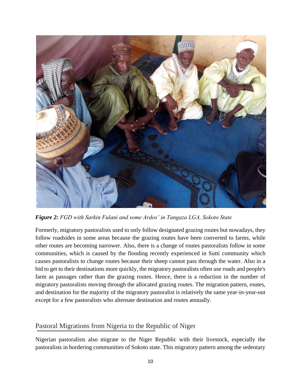

*Figure 2: FGD with Sarkin Fulani and some Ardos' in Tangaza LGA, Sokoto State*

Formerly, migratory pastoralists used to only follow designated grazing routes but nowadays, they follow roadsides in some areas because the grazing routes have been converted to farms, while other routes are becoming narrower. Also, there is a change of routes pastoralists follow in some communities, which is caused by the flooding recently experienced in Sutti community which causes pastoralists to change routes because their sheep cannot pass through the water. Also in a bid to get to their destinations more quickly, the migratory pastoralists often use roads and people's farm as passages rather than the grazing routes. Hence, there is a reduction in the number of migratory pastoralists moving through the allocated grazing routes. The migration pattern, routes, and destination for the majority of the migratory pastoralist is relatively the same year-in-year-out except for a few pastoralists who alternate destination and routes annually.

### Pastoral Migrations from Nigeria to the Republic of Niger

Nigerian pastoralists also migrate to the Niger Republic with their livestock, especially the pastoralists in bordering communities of Sokoto state. This migratory pattern among the sedentary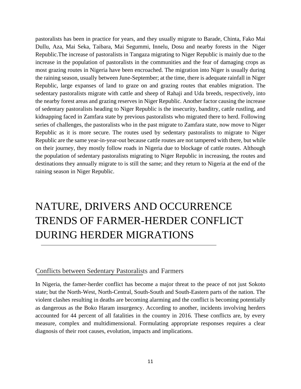pastoralists has been in practice for years, and they usually migrate to Barade, Chinta, Fako Mai Dullu, Aza, Mai Seka, Taibara, Mai Segummi, Innelu, Dosu and nearby forests in the Niger Republic.The increase of pastoralists in Tangaza migrating to Niger Republic is mainly due to the increase in the population of pastoralists in the communities and the fear of damaging crops as most grazing routes in Nigeria have been encroached. The migration into Niger is usually during the raining season, usually between June-September; at the time, there is adequate rainfall in Niger Republic, large expanses of land to graze on and grazing routes that enables migration. The sedentary pastoralists migrate with cattle and sheep of Rahaji and Uda breeds, respectively, into the nearby forest areas and grazing reserves in Niger Republic. Another factor causing the increase of sedentary pastoralists heading to Niger Republic is the insecurity, banditry, cattle rustling, and kidnapping faced in Zamfara state by previous pastoralists who migrated there to herd. Following series of challenges, the pastoralists who in the past migrate to Zamfara state, now move to Niger Republic as it is more secure. The routes used by sedentary pastoralists to migrate to Niger Republic are the same year-in-year-out because cattle routes are not tampered with there, but while on their journey, they mostly follow roads in Nigeria due to blockage of cattle routes. Although the population of sedentary pastoralists migrating to Niger Republic in increasing, the routes and destinations they annually migrate to is still the same; and they return to Nigeria at the end of the raining season in Niger Republic.

# NATURE, DRIVERS AND OCCURRENCE TRENDS OF FARMER-HERDER CONFLICT DURING HERDER MIGRATIONS

#### Conflicts between Sedentary Pastoralists and Farmers

In Nigeria, the famer-herder conflict has become a major threat to the peace of not just Sokoto state; but the North-West, North-Central, South-South and South-Eastern parts of the nation. The violent clashes resulting in deaths are becoming alarming and the conflict is becoming potentially as dangerous as the Boko Haram insurgency. According to another, incidents involving herders accounted for 44 percent of all fatalities in the country in 2016. These conflicts are, by every measure, complex and multidimensional. Formulating appropriate responses requires a clear diagnosis of their root causes, evolution, impacts and implications.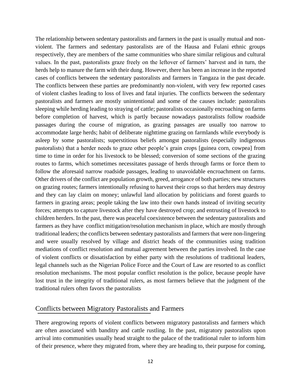The relationship between sedentary pastoralists and farmers in the past is usually mutual and nonviolent. The farmers and sedentary pastoralists are of the Hausa and Fulani ethnic groups respectively, they are members of the same communities who share similar religious and cultural values. In the past, pastoralists graze freely on the leftover of farmers' harvest and in turn, the herds help to manure the farm with their dung. However, there has been an increase in the reported cases of conflicts between the sedentary pastoralists and farmers in Tangaza in the past decade. The conflicts between these parties are predominantly non-violent, with very few reported cases of violent clashes leading to loss of lives and fatal injuries. The conflicts between the sedentary pastoralists and farmers are mostly unintentional and some of the causes include: pastoralists sleeping while herding leading to straying of cattle; pastoralists occasionally encroaching on farms before completion of harvest, which is partly because nowadays pastoralists follow roadside passages during the course of migration, as grazing passages are usually too narrow to accommodate large herds; habit of deliberate nighttime grazing on farmlands while everybody is asleep by some pastoralists; superstitious beliefs amongst pastoralists (especially indigenous pastoralists) that a herder needs to graze other people's grain crops [guinea corn, cowpea] from time to time in order for his livestock to be blessed; conversion of some sections of the grazing routes to farms, which sometimes necessitates passage of herds through farms or force them to follow the aforesaid narrow roadside passages, leading to unavoidable encroachment on farms. Other drivers of the conflict are population growth, greed, arrogance of both parties; new structures on grazing routes; farmers intentionally refusing to harvest their crops so that herders may destroy and they can lay claim on money; unlawful land allocation by politicians and forest guards to farmers in grazing areas; people taking the law into their own hands instead of inviting security forces; attempts to capture livestock after they have destroyed crop; and entrusting of livestock to children herders. In the past, there was peaceful coexistence between the sedentary pastoralists and farmers as they have conflict mitigation/resolution mechanism in place, which are mostly through traditional leaders; the conflicts between sedentary pastoralists and farmers that were non-lingering and were usually resolved by village and district heads of the communities using tradition mediations of conflict resolution and mutual agreement between the parties involved. In the case of violent conflicts or dissatisfaction by either party with the resolutions of traditional leaders, legal channels such as the Nigerian Police Force and the Court of Law are resorted to as conflict resolution mechanisms. The most popular conflict resolution is the police, because people have lost trust in the integrity of traditional rulers, as most farmers believe that the judgment of the traditional rulers often favors the pastoralists

#### Conflicts between Migratory Pastoralists and Farmers

There aregrowing reports of violent conflicts between migratory pastoralists and farmers which are often associated with banditry and cattle rustling. In the past, migratory pastoralists upon arrival into communities usually head straight to the palace of the traditional ruler to inform him of their presence, where they migrated from, where they are heading to, their purpose for coming,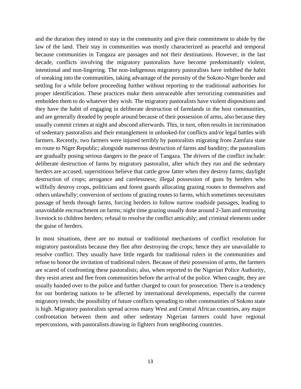and the duration they intend to stay in the community and give their commitment to abide by the law of the land. Their stay in communities was mostly characterized as peaceful and temporal because communities in Tangaza are passages and not their destinations. However, in the last decade, conflicts involving the migratory pastoralists have become predominantly violent, intentional and non-lingering. The non-indigenous migratory pastoralists have imbibed the habit of sneaking into the communities, taking advantage of the porosity of the Sokoto-Niger border and settling for a while before proceeding further without reporting to the traditional authorities for proper identification. These practices make them untraceable after terrorizing communities and embolden them to do whatever they wish. The migratory pastoralists have violent dispositions and they have the habit of engaging in deliberate destruction of farmlands in the host communities, and are generally dreaded by people around because of their possession of arms, also because they usually commit crimes at night and abscond afterwards. This, in turn, often results in incrimination of sedentary pastoralists and their entanglement in unlooked-for conflicts and/or legal battles with farmers. Recently, two farmers were injured terribly by pastoralists migrating from Zamfara state en route to Niger Republic; alongside numerous destruction of farms and banditry; the pastoralists are gradually posing serious dangers to the peace of Tangaza. The drivers of the conflict include: deliberate destruction of farms by migratory pastoralist, after which they run and the sedentary herders are accused; superstitious believe that cattle grow fatter when they destroy farms; daylight destruction of crops; arrogance and carelessness; illegal possession of guns by herders who willfully destroy crops, politicians and forest guards allocating grazing routes to themselves and others unlawfully; conversion of sections of grazing routes to farms, which sometimes necessitates passage of herds through farms, forcing herders to follow narrow roadside passages, leading to unavoidable encroachment on farms; night time grazing usually done around 2-3am and entrusting livestock to children herders; refusal to resolve the conflict amicably; and criminal elements under the guise of herders.

In most situations, there are no mutual or traditional mechanisms of conflict resolution for migratory pastoralists because they flee after destroying the crops; hence they are unavailable to resolve conflict. They usually have little regards for traditional rulers in the communities and refuse to honor the invitation of traditional rulers. Because of their possession of arms, the farmers are scared of confronting these pastoralists; also, when reported to the Nigerian Police Authority, they resist arrest and flee from communities before the arrival of the police. When caught, they are usually handed over to the police and further charged to court for prosecution. There is a tendency for our bordering nations to be affected by international developments, especially the current migratory trends; the possibility of future conflicts spreading to other communities of Sokoto state is high. Migratory pastoralists spread across many West and Central African countries, any major confrontation between them and other sedentary Nigerian farmers could have regional repercussions, with pastoralists drawing in fighters from neighboring countries.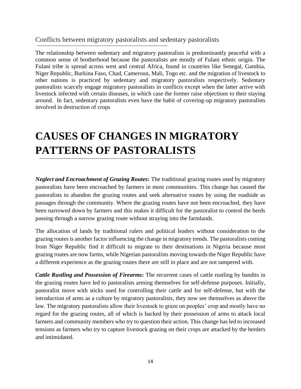### Conflicts between migratory pastoralists and sedentary pastoralists

The relationship between sedentary and migratory pastoralists is predominantly peaceful with a common sense of brotherhood because the pastoralists are mostly of Fulani ethnic origin. The Fulani tribe is spread across west and central Africa, found in countries like Senegal, Gambia, Niger Republic, Burkina Faso, Chad, Cameroun, Mali, Togo etc. and the migration of livestock to other nations is practiced by sedentary and migratory pastoralists respectively. Sedentary pastoralists scarcely engage migratory pastoralists in conflicts except when the latter arrive with livestock infected with certain diseases, in which case the former raise objections to their staying around. In fact, sedentary pastoralists even have the habit of covering-up migratory pastoralists involved in destruction of crops

# **CAUSES OF CHANGES IN MIGRATORY PATTERNS OF PASTORALISTS**

*Neglect and Encroachment of Grazing Routes***:** The traditional grazing routes used by migratory pastoralists have been encroached by farmers in most communities. This change has caused the pastoralists to abandon the grazing routes and seek alternative routes by using the roadside as passages through the community. Where the grazing routes have not been encroached, they have been narrowed down by farmers and this makes it difficult for the pastoralist to control the herds passing through a narrow grazing route without straying into the farmlands.

The allocation of lands by traditional rulers and political leaders without consideration to the grazing routes is another factor influencing the change in migratory trends. The pastoralists coming from Niger Republic find it difficult to migrate to their destinations in Nigeria because most grazing routes are now farms, while Nigerian pastoralists moving towards the Niger Republic have a different experience as the grazing routes there are still in place and are not tampered with.

*Cattle Rustling and Possession of Firearms***:** The recurrent cases of cattle rustling by bandits in the grazing routes have led to pastoralists arming themselves for self-defense purposes. Initially, pastoralist move with sticks used for controlling their cattle and for self-defense, but with the introduction of arms as a culture by migratory pastoralists, they now see themselves as above the law. The migratory pastoralists allow their livestock to graze on peoples' crop and mostly have no regard for the grazing routes, all of which is backed by their possession of arms to attack local farmers and community members who try to question their action. This change has led to increased tensions as farmers who try to capture livestock grazing on their crops are attacked by the herders and intimidated.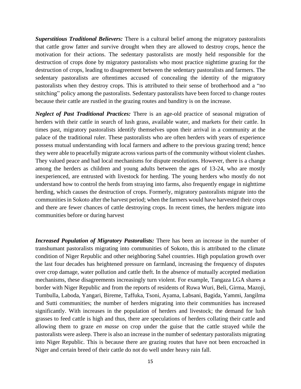*Superstitious Traditional Believers:* There is a cultural belief among the migratory pastoralists that cattle grow fatter and survive drought when they are allowed to destroy crops, hence the motivation for their actions. The sedentary pastoralists are mostly held responsible for the destruction of crops done by migratory pastoralists who most practice nighttime grazing for the destruction of crops, leading to disagreement between the sedentary pastoralists and farmers. The sedentary pastoralists are oftentimes accused of concealing the identity of the migratory pastoralists when they destroy crops. This is attributed to their sense of brotherhood and a "no snitching" policy among the pastoralists. Sedentary pastoralists have been forced to change routes because their cattle are rustled in the grazing routes and banditry is on the increase.

*Neglect of Past Traditional Practices:* There is an age-old practice of seasonal migration of herders with their cattle in search of lush grass, available water, and markets for their cattle. In times past, migratory pastoralists identify themselves upon their arrival in a community at the palace of the traditional ruler. These pastoralists who are often herders with years of experience possess mutual understanding with local farmers and adhere to the previous grazing trend; hence they were able to peacefully migrate across various parts of the community without violent clashes. They valued peace and had local mechanisms for dispute resolutions. However, there is a change among the herders as children and young adults between the ages of 13-24, who are mostly inexperienced, are entrusted with livestock for herding. The young herders who mostly do not understand how to control the herds from straying into farms, also frequently engage in nighttime herding, which causes the destruction of crops. Formerly, migratory pastoralists migrate into the communities in Sokoto after the harvest period; when the farmers would have harvested their crops and there are fewer chances of cattle destroying crops. In recent times, the herders migrate into communities before or during harvest

*Increased Population of Migratory Pastoralists:* There has been an increase in the number of transhumant pastoralists migrating into communities of Sokoto, this is attributed to the climate condition of Niger Republic and other neighboring Sahel countries. High population growth over the last four decades has heightened pressure on farmland, increasing the frequency of disputes over crop damage, water pollution and cattle theft. In the absence of mutually accepted mediation mechanisms, these disagreements increasingly turn violent. For example, Tangaza LGA shares a border with Niger Republic and from the reports of residents of Ruwa Wuri, Beli, Girma, Mazoji, Tumbulla, Laboda, Yangari, Bireme, Taffuka, Tsoni, Ayama, Labsani, Bagida, Yammi, Jangilma and Sutti communities; the number of herders migrating into their communities has increased significantly. With increases in the population of herders and livestock; the demand for lush grasses to feed cattle is high and thus, there are speculations of herders collating their cattle and allowing them to graze *en masse* on crop under the guise that the cattle strayed while the pastoralists were asleep. There is also an increase in the number of sedentary pastoralists migrating into Niger Republic. This is because there are grazing routes that have not been encroached in Niger and certain breed of their cattle do not do well under heavy rain fall.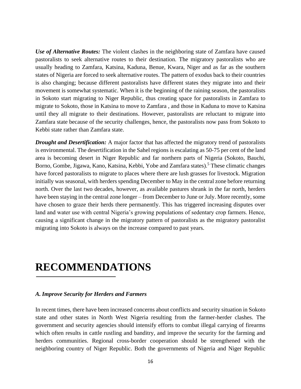*Use of Alternative Routes:* The violent clashes in the neighboring state of Zamfara have caused pastoralists to seek alternative routes to their destination. The migratory pastoralists who are usually heading to Zamfara, Katsina, Kaduna, Benue, Kwara, Niger and as far as the southern states of Nigeria are forced to seek alternative routes. The pattern of exodus back to their countries is also changing; because different pastoralists have different states they migrate into and their movement is somewhat systematic. When it is the beginning of the raining season, the pastoralists in Sokoto start migrating to Niger Republic, thus creating space for pastoralists in Zamfara to migrate to Sokoto, those in Katsina to move to Zamfara , and those in Kaduna to move to Katsina until they all migrate to their destinations. However, pastoralists are reluctant to migrate into Zamfara state because of the security challenges, hence, the pastoralists now pass from Sokoto to Kebbi state rather than Zamfara state.

*Drought and Desertification:* A major factor that has affected the migratory trend of pastoralists is environmental. The desertification in the Sahel regions is escalating as 50-75 per cent of the land area is becoming desert in Niger Republic and far northern parts of Nigeria (Sokoto, Bauchi, Borno, Gombe, Jigawa, Kano, Katsina, Kebbi, Yobe and Zamfara states).<sup>5</sup> These climatic changes have forced pastoralists to migrate to places where there are lush grasses for livestock. Migration initially was seasonal, with herders spending December to May in the central zone before returning north. Over the last two decades, however, as available pastures shrank in the far north, herders have been staying in the central zone longer – from December to June or July. More recently, some have chosen to graze their herds there permanently. This has triggered increasing disputes over land and water use with central Nigeria's growing populations of sedentary crop farmers. Hence, causing a significant change in the migratory pattern of pastoralists as the migratory pastoralist migrating into Sokoto is always on the increase compared to past years.

# **RECOMMENDATIONS**

#### *A. Improve Security for Herders and Farmers*

In recent times, there have been increased concerns about conflicts and security situation in Sokoto state and other states in North West Nigeria resulting from the farmer-herder clashes. The government and security agencies should intensify efforts to combat illegal carrying of firearms which often results in cattle rustling and banditry, and improve the security for the farming and herders communities. Regional cross-border cooperation should be strengthened with the neighboring country of Niger Republic. Both the governments of Nigeria and Niger Republic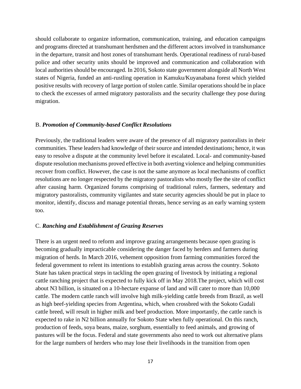should collaborate to organize information, communication, training, and education campaigns and programs directed at transhumant herdsmen and the different actors involved in transhumance in the departure, transit and host zones of transhumant herds. Operational readiness of rural-based police and other security units should be improved and communication and collaboration with local authorities should be encouraged. In 2016, Sokoto state government alongside all North West states of Nigeria, funded an anti-rustling operation in Kamuku/Kuyanabana forest which yielded positive results with recovery of large portion of stolen cattle. Similar operations should be in place to check the excesses of armed migratory pastoralists and the security challenge they pose during migration.

#### B. *Promotion of Community-based Conflict Resolutions*

Previously, the traditional leaders were aware of the presence of all migratory pastoralists in their communities. These leaders had knowledge of their source and intended destinations; hence, it was easy to resolve a dispute at the community level before it escalated. Local- and community-based dispute resolution mechanisms proved effective in both averting violence and helping communities recover from conflict. However, the case is not the same anymore as local mechanisms of conflict resolutions are no longer respected by the migratory pastoralists who mostly flee the site of conflict after causing harm. Organized forums comprising of traditional rulers, farmers, sedentary and migratory pastoralists, community vigilantes and state security agencies should be put in place to monitor, identify, discuss and manage potential threats, hence serving as an early warning system too.

#### C. *Ranching and Establishment of Grazing Reserves*

There is an urgent need to reform and improve grazing arrangements because open grazing is becoming gradually impracticable considering the danger faced by herders and farmers during migration of herds. In March 2016, vehement opposition from farming communities forced the federal government to relent its intentions to establish grazing areas across the country. Sokoto State has taken practical steps in tackling the open grazing of livestock by initiating a regional cattle ranching project that is expected to fully kick off in May 2018.The project, which will cost about N3 billion, is situated on a 10-hectare expanse of land and will cater to more than 10,000 cattle. The modern cattle ranch will involve high milk-yielding cattle breeds from Brazil, as well as high beef-yielding species from Argentina, which, when crossbred with the Sokoto Gudali cattle breed, will result in higher milk and beef production. More importantly, the cattle ranch is expected to rake in N2 billion annually for Sokoto State when fully operational. On this ranch, production of feeds, soya beans, maize, sorghum, essentially to feed animals, and growing of pastures will be the focus. Federal and state governments also need to work out alternative plans for the large numbers of herders who may lose their livelihoods in the transition from open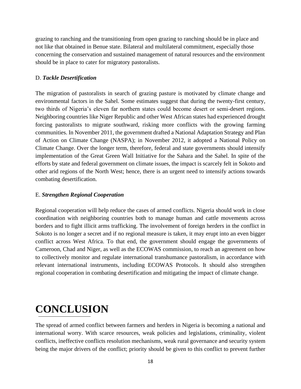grazing to ranching and the transitioning from open grazing to ranching should be in place and not like that obtained in Benue state. Bilateral and multilateral commitment, especially those concerning the conservation and sustained management of natural resources and the environment should be in place to cater for migratory pastoralists.

#### D. *Tackle Desertification*

The migration of pastoralists in search of grazing pasture is motivated by climate change and environmental factors in the Sahel. Some estimates suggest that during the twenty-first century, two thirds of Nigeria's eleven far northern states could become desert or semi-desert regions. Neighboring countries like Niger Republic and other West African states had experienced drought forcing pastoralists to migrate southward, risking more conflicts with the growing farming communities. In November 2011, the government drafted a National Adaptation Strategy and Plan of Action on Climate Change (NASPA); in November 2012, it adopted a National Policy on Climate Change. Over the longer term, therefore, federal and state governments should intensify implementation of the Great Green Wall Initiative for the Sahara and the Sahel. In spite of the efforts by state and federal government on climate issues, the impact is scarcely felt in Sokoto and other arid regions of the North West; hence, there is an urgent need to intensify actions towards combating desertification.

#### E. *Strengthen Regional Cooperation*

Regional cooperation will help reduce the cases of armed conflicts. Nigeria should work in close coordination with neighboring countries both to manage human and cattle movements across borders and to fight illicit arms trafficking. The involvement of foreign herders in the conflict in Sokoto is no longer a secret and if no regional measure is taken, it may erupt into an even bigger conflict across West Africa. To that end, the government should engage the governments of Cameroon, Chad and Niger, as well as the ECOWAS commission, to reach an agreement on how to collectively monitor and regulate international transhumance pastoralism, in accordance with relevant international instruments, including ECOWAS Protocols. It should also strengthen regional cooperation in combating desertification and mitigating the impact of climate change.

# **CONCLUSION**

The spread of armed conflict between farmers and herders in Nigeria is becoming a national and international worry. With scarce resources, weak policies and legislations, criminality, violent conflicts, ineffective conflicts resolution mechanisms, weak rural governance and security system being the major drivers of the conflict; priority should be given to this conflict to prevent further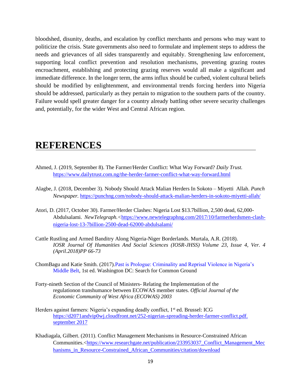bloodshed, disunity, deaths, and escalation by conflict merchants and persons who may want to politicize the crisis. State governments also need to formulate and implement steps to address the needs and grievances of all sides transparently and equitably. Strengthening law enforcement, supporting local conflict prevention and resolution mechanisms, preventing grazing routes encroachment, establishing and protecting grazing reserves would all make a significant and immediate difference. In the longer term, the arms influx should be curbed, violent cultural beliefs should be modified by enlightenment, and environmental trends forcing herders into Nigeria should be addressed, particularly as they pertain to migration to the southern parts of the country. Failure would spell greater danger for a country already battling other severe security challenges and, potentially, for the wider West and Central African region.

## **REFERENCES**

- Ahmed, J. (2019, September 8). The Farmer/Herder Conflict: What Way Forward? *Daily Trust.*  <https://www.dailytrust.com.ng/the-herder-farmer-conflict-what-way-forward.html>
- Alagbe, J. (2018, December 3). Nobody Should Attack Malian Herders In Sokoto Miyetti Allah. *Punch Newspaper.* <https://punchng.com/nobody-should-attack-malian-herders-in-sokoto-miyetti-allah/>
- Atori, D. (2017, October 30). Farmer/Herder Clashes: Nigeria Lost \$13.7billion, 2,500 dead, 62,000- Abdulsalami. *NewTelegraph.<*[https://www.newtelegraphng.com/2017/10/farmerherdsmen-clash](https://www.newtelegraphng.com/2017/10/farmerherdsmen-clash-nigeria-lost-13-7billion-2500-dead-62000-abdulsalami/)[nigeria-lost-13-7billion-2500-dead-62000-abdulsalami/](https://www.newtelegraphng.com/2017/10/farmerherdsmen-clash-nigeria-lost-13-7billion-2500-dead-62000-abdulsalami/)
- Cattle Rustling and Armed Banditry Along Nigeria-Niger Borderlands. Murtala, A.R. (2018). *IOSR Journal Of Humanities And Social Sciences (IOSR-JHSS) Volume 23, Issue 4, Ver. 4 (April.2018)PP 66-73*
- ChomBagu and Katie Smith. (2017).Past is Prologue: Criminality and Reprisal Violence in Nigeria's Middle Belt, 1st ed. Washington DC: Search for Common Ground
- Forty-nineth Section of the Council of Ministers- Relating the Implementation of the regulationon transhumance between ECOWAS member states. *Official Journal of the Economic Community of West Africa (ECOWAS) 2003*
- Herders against farmers: Nigeria's expanding deadly conflict,  $1<sup>st</sup>$  ed. Brussel: ICG [https://d2071andvip0wj.cloudfront.net/252-nigerias-spreading-herder-farmer-conflict.pdf.](https://d2071andvip0wj.cloudfront.net/252-nigerias-spreading-herder-farmer-conflict.pdf.%20september%202017)  [september 2017](https://d2071andvip0wj.cloudfront.net/252-nigerias-spreading-herder-farmer-conflict.pdf.%20september%202017)
- Khadiagala, Gilbert. (2011). Conflict Management Mechanisms in Resource-Constrained African Communities.[<https://www.researchgate.net/publication/233953037\\_Conflict\\_Management\\_Mec](https://www.researchgate.net/publication/233953037_Conflict_Management_Mechanisms_in_Resource-Constrained_African_Communities/citation/download) [hanisms\\_in\\_Resource-Constrained\\_African\\_Communities/citation/download](https://www.researchgate.net/publication/233953037_Conflict_Management_Mechanisms_in_Resource-Constrained_African_Communities/citation/download)